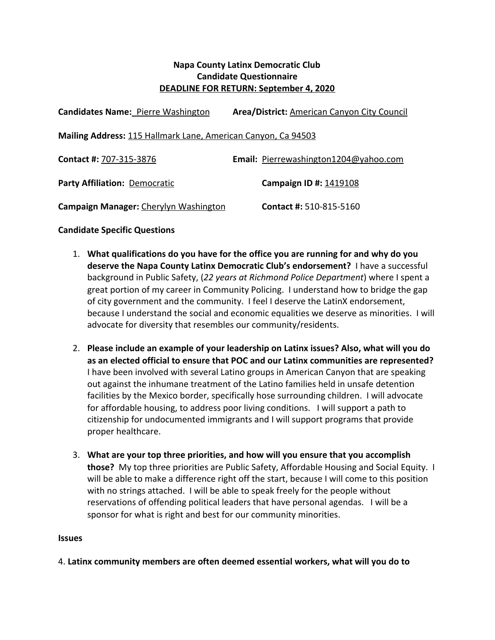## **Napa County Latinx Democratic Club Candidate Questionnaire DEADLINE FOR RETURN: September 4, 2020**

| <b>Candidates Name: Pierre Washington</b>                     | <b>Area/District: American Canyon City Council</b> |
|---------------------------------------------------------------|----------------------------------------------------|
| Mailing Address: 115 Hallmark Lane, American Canyon, Ca 94503 |                                                    |
| Contact #: 707-315-3876                                       | Email: Pierrewashington1204@yahoo.com              |
| Party Affiliation: Democratic                                 | Campaign ID #: 1419108                             |
| Campaign Manager: Cherylyn Washington                         | <b>Contact #: 510-815-5160</b>                     |

## **Candidate Specific Questions**

- 1. **What qualifications do you have for the office you are running for and why do you deserve the Napa County Latinx Democratic Club's endorsement?** I have a successful background in Public Safety, (*22 years at Richmond Police Department*) where I spent a great portion of my career in Community Policing. I understand how to bridge the gap of city government and the community. I feel I deserve the LatinX endorsement, because I understand the social and economic equalities we deserve as minorities. I will advocate for diversity that resembles our community/residents.
- 2. **Please include an example of your leadership on Latinx issues? Also, what will you do as an elected official to ensure that POC and our Latinx communities are represented?** I have been involved with several Latino groups in American Canyon that are speaking out against the inhumane treatment of the Latino families held in unsafe detention facilities by the Mexico border, specifically hose surrounding children. I will advocate for affordable housing, to address poor living conditions. I will support a path to citizenship for undocumented immigrants and I will support programs that provide proper healthcare.
- 3. **What are your top three priorities, and how will you ensure that you accomplish those?** My top three priorities are Public Safety, Affordable Housing and Social Equity. I will be able to make a difference right off the start, because I will come to this position with no strings attached. I will be able to speak freely for the people without reservations of offending political leaders that have personal agendas. I will be a sponsor for what is right and best for our community minorities.

## **Issues**

4. **Latinx community members are often deemed essential workers, what will you do to**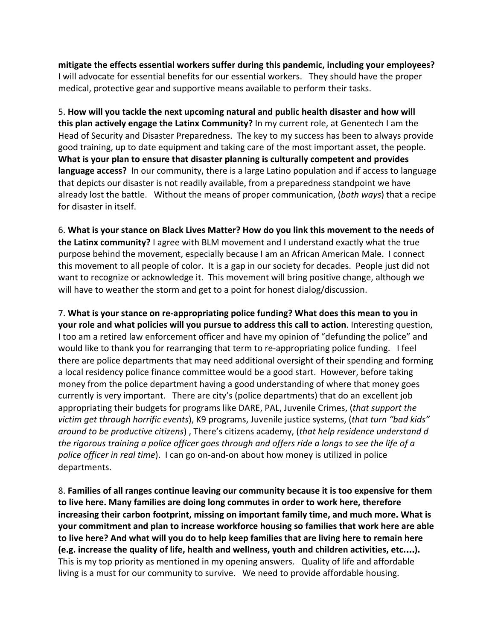**mitigate the effects essential workers suffer during this pandemic, including your employees?** I will advocate for essential benefits for our essential workers. They should have the proper medical, protective gear and supportive means available to perform their tasks.

5. **How will you tackle the next upcoming natural and public health disaster and how will this plan actively engage the Latinx Community?** In my current role, at Genentech I am the Head of Security and Disaster Preparedness. The key to my success has been to always provide good training, up to date equipment and taking care of the most important asset, the people. **What is your plan to ensure that disaster planning is culturally competent and provides language access?** In our community, there is a large Latino population and if access to language that depicts our disaster is not readily available, from a preparedness standpoint we have already lost the battle. Without the means of proper communication, (*both ways*) that a recipe for disaster in itself.

6. **What is your stance on Black Lives Matter? How do you link this movement to the needs of the Latinx community?** I agree with BLM movement and I understand exactly what the true purpose behind the movement, especially because I am an African American Male. I connect this movement to all people of color. It is a gap in our society for decades. People just did not want to recognize or acknowledge it. This movement will bring positive change, although we will have to weather the storm and get to a point for honest dialog/discussion.

7. **What is your stance on re-appropriating police funding? What does this mean to you in your role and what policies will you pursue to address this call to action**. Interesting question, I too am a retired law enforcement officer and have my opinion of "defunding the police" and would like to thank you for rearranging that term to re-appropriating police funding. I feel there are police departments that may need additional oversight of their spending and forming a local residency police finance committee would be a good start. However, before taking money from the police department having a good understanding of where that money goes currently is very important. There are city's (police departments) that do an excellent job appropriating their budgets for programs like DARE, PAL, Juvenile Crimes, (*that support the victim get through horrific events*), K9 programs, Juvenile justice systems, (*that turn "bad kids" around to be productive citizens*) , There's citizens academy, (*that help residence understand d the rigorous training a police officer goes through and offers ride a longs to see the life of a police officer in real time*). I can go on-and-on about how money is utilized in police departments.

8. **Families of all ranges continue leaving our community because it is too expensive for them to live here. Many families are doing long commutes in order to work here, therefore increasing their carbon footprint, missing on important family time, and much more. What is your commitment and plan to increase workforce housing so families that work here are able to live here? And what will you do to help keep families that are living here to remain here (e.g. increase the quality of life, health and wellness, youth and children activities, etc.**…**).** This is my top priority as mentioned in my opening answers. Quality of life and affordable living is a must for our community to survive. We need to provide affordable housing.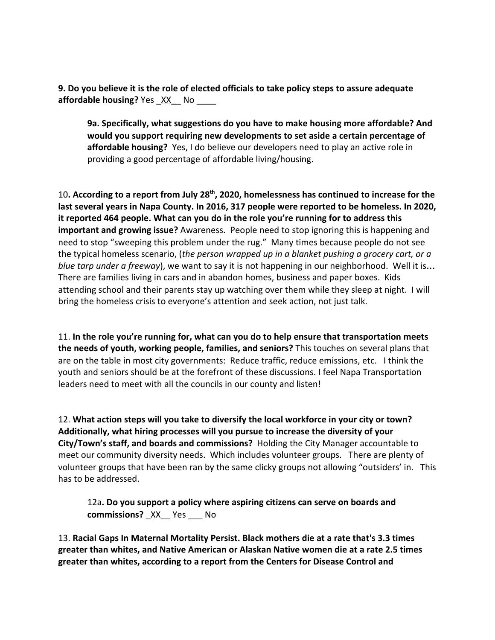**9. Do you believe it is the role of elected officials to take policy steps to assure adequate affordable housing?** Yes  $XX$  No

**9a. Specifically, what suggestions do you have to make housing more affordable? And would you support requiring new developments to set aside a certain percentage of affordable housing?** Yes, I do believe our developers need to play an active role in providing a good percentage of affordable living/housing.

10**. According to a report from July 28th , 2020, homelessness has continued to increase for the last several years in Napa County. In 2016, 317 people were reported to be homeless. In 2020, it reported 464 people. What can you do in the role you're running for to address this important and growing issue?** Awareness. People need to stop ignoring this is happening and need to stop "sweeping this problem under the rug." Many times because people do not see the typical homeless scenario, (*the person wrapped up in a blanket pushing a grocery cart, or a blue tarp under a freeway*), we want to say it is not happening in our neighborhood. Well it is… There are families living in cars and in abandon homes, business and paper boxes. Kids attending school and their parents stay up watching over them while they sleep at night. I will bring the homeless crisis to everyone's attention and seek action, not just talk.

11. **In the role you're running for, what can you do to help ensure that transportation meets the needs of youth, working people, families, and seniors?** This touches on several plans that are on the table in most city governments: Reduce traffic, reduce emissions, etc. I think the youth and seniors should be at the forefront of these discussions. I feel Napa Transportation leaders need to meet with all the councils in our county and listen!

12. **What action steps will you take to diversify the local workforce in your city or town? Additionally, what hiring processes will you pursue to increase the diversity of your City/Town's staff, and boards and commissions?** Holding the City Manager accountable to meet our community diversity needs. Which includes volunteer groups. There are plenty of volunteer groups that have been ran by the same clicky groups not allowing "outsiders' in. This has to be addressed.

12a**. Do you support a policy where aspiring citizens can serve on boards and commissions?** \_XX\_\_ Yes \_\_\_ No

13. **Racial Gaps In Maternal Mortality Persist. Black mothers die at a rate that's 3.3 times greater than whites, and Native American or Alaskan Native women die at a rate 2.5 times greater than whites, according to a report from the Centers for Disease Control and**